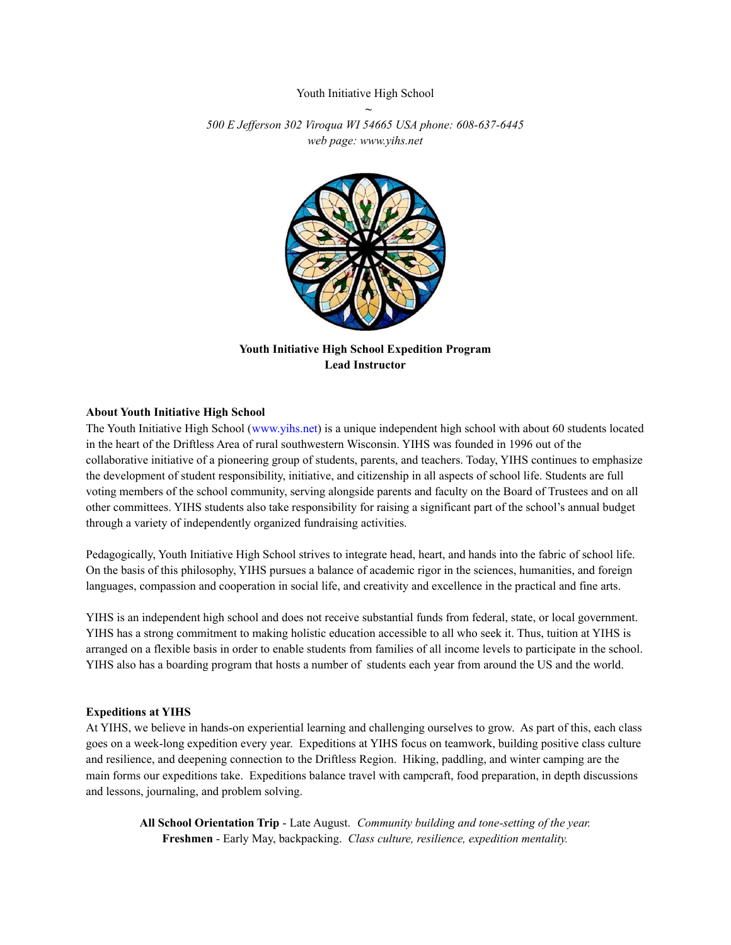## Youth Initiative High School *~*

*500 E Jef erson 302 Viroqua WI 54665 USA phone: 608-637-6445 web page: www.yihs.net*



**Youth Initiative High School Expedition Program Lead Instructor**

#### **About Youth Initiative High School**

The Youth Initiative High School (www.yihs.net) is a unique independent high school with about 60 students located in the heart of the Driftless Area of rural southwestern Wisconsin. YIHS was founded in 1996 out of the collaborative initiative of a pioneering group of students, parents, and teachers. Today, YIHS continues to emphasize the development of student responsibility, initiative, and citizenship in all aspects of school life. Students are full voting members of the school community, serving alongside parents and faculty on the Board of Trustees and on all other committees. YIHS students also take responsibility for raising a significant part of the school's annual budget through a variety of independently organized fundraising activities.

Pedagogically, Youth Initiative High School strives to integrate head, heart, and hands into the fabric of school life. On the basis of this philosophy, YIHS pursues a balance of academic rigor in the sciences, humanities, and foreign languages, compassion and cooperation in social life, and creativity and excellence in the practical and fine arts.

YIHS is an independent high school and does not receive substantial funds from federal, state, or local government. YIHS has a strong commitment to making holistic education accessible to all who seek it. Thus, tuition at YIHS is arranged on a flexible basis in order to enable students from families of all income levels to participate in the school. YIHS also has a boarding program that hosts a number of students each year from around the US and the world.

#### **Expeditions at YIHS**

At YIHS, we believe in hands-on experiential learning and challenging ourselves to grow. As part of this, each class goes on a week-long expedition every year. Expeditions at YIHS focus on teamwork, building positive class culture and resilience, and deepening connection to the Driftless Region. Hiking, paddling, and winter camping are the main forms our expeditions take. Expeditions balance travel with campcraft, food preparation, in depth discussions and lessons, journaling, and problem solving.

**All School Orientation Trip** - Late August. *Community building and tone-setting of the year.* **Freshmen** - Early May, backpacking. *Class culture, resilience, expedition mentality.*